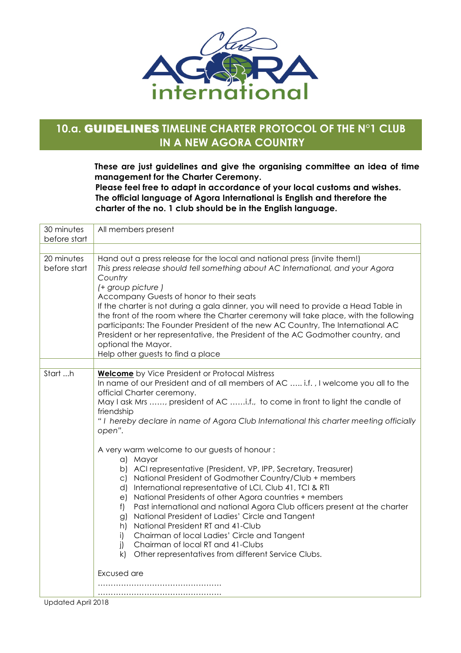

## **10.a.** GUIDELINES **TIMELINE CHARTER PROTOCOL OF THE N°1 CLUB IN A NEW AGORA COUNTRY**

**These are just guidelines and give the organising committee an idea of time management for the Charter Ceremony.**

 **Please feel free to adapt in accordance of your local customs and wishes. The official language of Agora International is English and therefore the charter of the no. 1 club should be in the English language.** 

| 30 minutes<br>before start | All members present                                                                                                                                                                                                                                                                                                                                                                                                                                                                                                                                                                                                                                                                           |
|----------------------------|-----------------------------------------------------------------------------------------------------------------------------------------------------------------------------------------------------------------------------------------------------------------------------------------------------------------------------------------------------------------------------------------------------------------------------------------------------------------------------------------------------------------------------------------------------------------------------------------------------------------------------------------------------------------------------------------------|
|                            |                                                                                                                                                                                                                                                                                                                                                                                                                                                                                                                                                                                                                                                                                               |
| 20 minutes<br>before start | Hand out a press release for the local and national press (invite them!)<br>This press release should tell something about AC International, and your Agora<br>Country<br>(+ group picture)<br>Accompany Guests of honor to their seats<br>If the charter is not during a gala dinner, you will need to provide a Head Table in<br>the front of the room where the Charter ceremony will take place, with the following<br>participants: The Founder President of the new AC Country, The International AC<br>President or her representative, the President of the AC Godmother country, and<br>optional the Mayor.<br>Help other guests to find a place                                     |
|                            |                                                                                                                                                                                                                                                                                                                                                                                                                                                                                                                                                                                                                                                                                               |
| Start h                    | <b>Welcome</b> by Vice President or Protocal Mistress<br>In name of our President and of all members of AC  i.f., I welcome you all to the<br>official Charter ceremony.<br>May I ask Mrs , president of AC i.f., to come in front to light the candle of<br>friendship<br>"I hereby declare in name of Agora Club International this charter meeting officially<br>open".                                                                                                                                                                                                                                                                                                                    |
|                            | A very warm welcome to our guests of honour:<br>a) Mayor<br>b) ACI representative (President, VP, IPP, Secretary, Treasurer)<br>c) National President of Godmother Country/Club + members<br>d) International representative of LCI, Club 41, TCI & RTI<br>National Presidents of other Agora countries + members<br>e)<br>Past international and national Agora Club officers present at the charter<br>f)<br>National President of Ladies' Circle and Tangent<br>g)<br>National President RT and 41-Club<br>h)<br>Chairman of local Ladies' Circle and Tangent<br>i)<br>Chairman of local RT and 41-Clubs<br>j)<br>k)<br>Other representatives from different Service Clubs.<br>Excused are |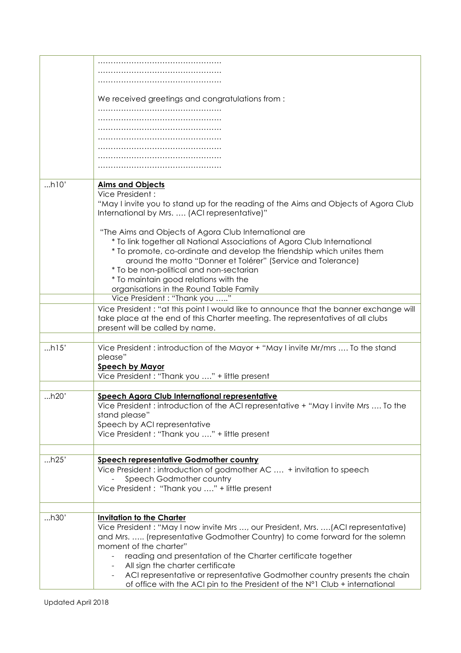|      | We received greetings and congratulations from:                                        |
|------|----------------------------------------------------------------------------------------|
|      |                                                                                        |
|      |                                                                                        |
|      |                                                                                        |
|      |                                                                                        |
|      |                                                                                        |
|      |                                                                                        |
|      |                                                                                        |
| h10' | <b>Aims and Objects</b>                                                                |
|      | Vice President:                                                                        |
|      | "May I invite you to stand up for the reading of the Aims and Objects of Agora Club    |
|      | International by Mrs.  (ACI representative)"                                           |
|      |                                                                                        |
|      | "The Aims and Objects of Agora Club International are                                  |
|      | * To link together all National Associations of Agora Club International               |
|      | * To promote, co-ordinate and develop the friendship which unites them                 |
|      | around the motto "Donner et Tolérer" (Service and Tolerance)                           |
|      | * To be non-political and non-sectarian                                                |
|      | * To maintain good relations with the                                                  |
|      | organisations in the Round Table Family                                                |
|      | Vice President: "Thank you "                                                           |
|      | Vice President : "at this point I would like to announce that the banner exchange will |
|      | take place at the end of this Charter meeting. The representatives of all clubs        |
|      | present will be called by name.                                                        |
|      |                                                                                        |
| h15' | Vice President: introduction of the Mayor + "May I invite Mr/mrs  To the stand         |
|      | please"                                                                                |
|      | <b>Speech by Mayor</b>                                                                 |
|      | Vice President : "Thank you " + little present                                         |
|      |                                                                                        |
| h20' | <b>Speech Agora Club International representative</b>                                  |
|      | Vice President: introduction of the ACI representative + "May I invite Mrs  To the     |
|      | stand please"                                                                          |
|      | Speech by ACI representative                                                           |
|      | Vice President : "Thank you " + little present                                         |
|      |                                                                                        |
| h25' | <b>Speech representative Godmother country</b>                                         |
|      | Vice President: introduction of godmother AC  + invitation to speech                   |
|      | Speech Godmother country                                                               |
|      | Vice President: "Thank you " + little present                                          |
|      |                                                                                        |
|      |                                                                                        |
| h30' | <b>Invitation to the Charter</b>                                                       |
|      | Vice President: "May I now invite Mrs , our President, Mrs. (ACI representative)       |
|      | and Mrs.  (representative Godmother Country) to come forward for the solemn            |
|      | moment of the charter"                                                                 |
|      | reading and presentation of the Charter certificate together                           |
|      | All sign the charter certificate                                                       |
|      | ACI representative or representative Godmother country presents the chain              |
|      | of office with the ACI pin to the President of the N°1 Club + international            |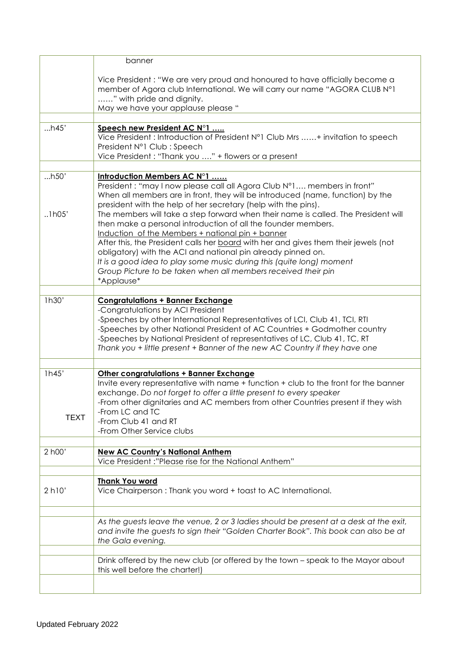|                | banner                                                                                                                                                                                                                                                                                                                                                                                                           |
|----------------|------------------------------------------------------------------------------------------------------------------------------------------------------------------------------------------------------------------------------------------------------------------------------------------------------------------------------------------------------------------------------------------------------------------|
|                | Vice President: "We are very proud and honoured to have officially become a<br>member of Agora club International. We will carry our name "AGORA CLUB N°1<br>" with pride and dignity.                                                                                                                                                                                                                           |
|                | May we have your applause please "                                                                                                                                                                                                                                                                                                                                                                               |
| h45'           | Speech new President AC N°1<br>Vice President : Introduction of President N°1 Club Mrs + invitation to speech<br>President N°1 Club : Speech<br>Vice President: "Thank you " + flowers or a present                                                                                                                                                                                                              |
|                |                                                                                                                                                                                                                                                                                                                                                                                                                  |
| h50'<br>.1h05' | Introduction Members AC N°1<br>President: "may I now please call all Agora Club N°1 members in front"<br>When all members are in front, they will be introduced (name, function) by the<br>president with the help of her secretary (help with the pins).<br>The members will take a step forward when their name is called. The President will<br>then make a personal introduction of all the founder members. |
|                | Induction of the Members + national pin + banner<br>After this, the President calls her board with her and gives them their jewels (not<br>obligatory) with the ACI and national pin already pinned on.<br>It is a good idea to play some music during this (quite long) moment<br>Group Picture to be taken when all members received their pin<br>*Applause*                                                   |
| 1h30'          | <b>Congratulations + Banner Exchange</b>                                                                                                                                                                                                                                                                                                                                                                         |
|                | -Congratulations by ACI President<br>-Speeches by other International Representatives of LCI, Club 41, TCI, RTI<br>-Speeches by other National President of AC Countries + Godmother country<br>-Speeches by National President of representatives of LC, Club 41, TC, RT<br>Thank you + little present + Banner of the new AC Country if they have one                                                          |
|                |                                                                                                                                                                                                                                                                                                                                                                                                                  |
| 1h45'          | Other congratulations + Banner Exchange<br>Invite every representative with name + function + club to the front for the banner<br>exchange. Do not forget to offer a little present to every speaker<br>-From other dignitaries and AC members from other Countries present if they wish<br>-From LC and TC                                                                                                      |
| <b>TEXT</b>    | -From Club 41 and RT<br>-From Other Service clubs                                                                                                                                                                                                                                                                                                                                                                |
| 2 h00'         | <b>New AC Country's National Anthem</b><br>Vice President:"Please rise for the National Anthem"                                                                                                                                                                                                                                                                                                                  |
| 2 h10'         | <b>Thank You word</b><br>Vice Chairperson: Thank you word + toast to AC International.                                                                                                                                                                                                                                                                                                                           |
|                | As the guests leave the venue, 2 or 3 ladies should be present at a desk at the exit,<br>and invite the guests to sign their "Golden Charter Book". This book can also be at<br>the Gala evening.                                                                                                                                                                                                                |
|                | Drink offered by the new club (or offered by the town – speak to the Mayor about<br>this well before the charter!)                                                                                                                                                                                                                                                                                               |
|                |                                                                                                                                                                                                                                                                                                                                                                                                                  |